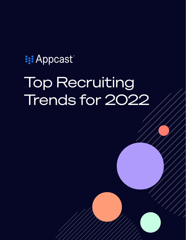# **i: Appcast** Top Recruiting Trends for 2022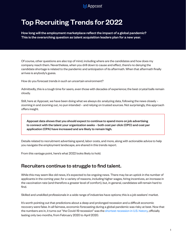# **I: Appcast**

# Top Recruiting Trends for 2022

How long will the employment marketplace reflect the impact of a global pandemic? This is the overarching question as talent acquisition leaders plan for a new year.

Of course, other questions are also top of mind, including where are the candidates and how does my company reach them. Nevertheless, when you drill down to cause and effect, there's no denying the candidate shortage is related to the pandemic and anticipation of its aftermath. When that aftermath finally arrives is anybody's guess.

How do you forecast trends in such an uncertain environment?

Admittedly, this is a tough time for seers, even those with decades of experience; the best crystal balls remain cloudy.

Still, here at Appcast, we have been doing what we always do: analyzing data, following the news closely – zooming in and zooming out, no pun intended – and relying on trusted sources. Not surprisingly, this approach offers insight.

Appcast data shows that you should expect to continue to spend more on job advertising to connect with the talent your organization seeks – both cost per click (CPC) and cost per application (CPA) have increased and are likely to remain high.

Details related to recruitment advertising spend, labor costs, and more, along with actionable advice to help you navigate the employment landscape, are shared in this trends report.

From this vantage point, here's what 2022 looks likely to hold.

# Recruiters continue to struggle to find talent.

While this may seem like old news, it's expected to be ongoing news. There may be an uptick in the number of applicants in the coming year, for a variety of reasons, including higher wages, hiring incentives, an increase in the vaccination rate (and therefore a greater level of comfort), but, in general, candidates will remain hard to find.

Skilled and unskilled professionals in a wide range of industries have options; this is a job seekers' market.

It's worth pointing out that predictions about a deep and prolonged recession and a difficult economic recovery were false. In all fairness, economic forecasting during a global pandemic was risky at best. Now that the numbers are in, it turns out "the Covid-19 recession" was the [shortest recession in U.S. history,](https://www.cnbc.com/2021/07/19/its-official-the-covid-recession-lasted-just-two-months-the-shortest-in-us-history.html) officially lasting only two months, from February 2020 to April 2020.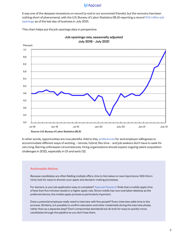It was one of the deepest recessions on record (a nod to our economist friends), but the recovery has been nothing short of phenomenal, with the U.S. Bureau of Labor Statistics (BLS) reporting a record [10.9 million job](https://www.bls.gov/news.release/pdf/jolts.pdf) [openings](https://www.bls.gov/news.release/pdf/jolts.pdf) as of the last day of business in July 2021.

This chart helps put the job openings data in perspective.





In other words, opportunities are now plentiful. Add to this, [preferences](https://info.appcast.io/whitepaper/what-u.s.-job-seekers-want-in-2021-website) for and employer willingness to accommodate different ways of working – remote, hybrid, flex time – and job seekers don't have to seek for very long. Barring unforeseen circumstances, hiring organizations should expect ongoing talent acquisition challenges in 2022, especially in Q1 and early Q2.

#### Actionable Advice

Because candidates are often fielding multiple offers, time to hire takes on new importance. With this in mind, look for ways to shorten your apply and decision-making processes.

For starters, is your job application easy to complete? [Appcast Research](https://info.appcast.io/whitepaper/create-a-world-class-mobile-candidate-experience-website) finds that a mobile apply time of less than five minutes results in a higher apply rate. Since mobile has now overtaken desktop as the preferred device, the mobile apply process is particularly important.

Does a potential employee really need to interview with five people? Every interview adds time to the process. Similarly, is it possible to confirm education and other credentials during the interview phase, rather than as a separate step? Don't compromise standards but do look for ways to quickly move candidates through the pipeline so you don't lose them.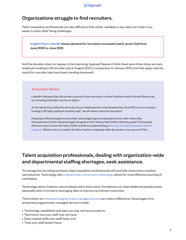# Organizations struggle to find recruiters.

Talent acquisition professionals are also difficult to find, which, needless to say, does not make it any easier to solve other hiring challenges.

#### [Insights from LinkedIn](https://www.linkedin.com/business/talent/blog/talent-strategy/data-shows-soaring-demand-for-recruiters) shows demand for recruiters increased nearly seven-fold from June 2020 to June 2021.

And the situation does not appear to be improving. Appcast Research finds there were three times as many employers looking to fill recruiter jobs in August 2021 in comparison to January 2021, and that apply rates by month for recruiter jobs have been trending downward.

#### Actionable Advice

LinkedIn indicates that the primary source of new recruiters is other functions within Human Resources, so recruiting internally may be an option.

At the same time, enlist the services of your employees for external searches. As a CEO at one company looking to fill open positions recently said, "we all need to become recruiters."

Employee referral programs have their advantages (good employees tend to refer others like themselves) and their disadvantages (programs don't always help further diversity goals). Fortunately, there are ways to have the best of both worlds by implementing a [diversity focused employee referral](https://info.appcast.io/whitepaper/diversity-recruiting-finding-and-hiring-website)  [program.](https://info.appcast.io/whitepaper/diversity-recruiting-finding-and-hiring-website) What's more, no matter the labor market, employee referrals remain a top source of hire.

# Talent acquisition professionals, dealing with organization-wide and departmental staffing shortages, seek assistance.

To manage the recruiting workload, talent acquisition professionals will have little choice but to explore new solutions. Technology, like [programmatic recruitment technology,](https://info.appcast.io/whitepaper/programmatic-recruitment-technology-101-website) allows for more effective sourcing of candidates.

Technology alone, however, cannot always solve every issue. Sometimes you need additional people power, especially when it comes to leveraging data to improve recruitment outcomes.

This is where an [enterprise programmatic managed service c](https://info.appcast.io/whitepaper/how-to-use-data-and-insights-to-make-better-recruitment-advertising-decisions-website)an make a difference. Advantages of an enterprise programmatic managed service include:

- Technology capabilities and data you may not have access to;
- Tech know-how your staff may not have;
- Data analysis skills your staff lacks; and
- Time your staff doesn't have.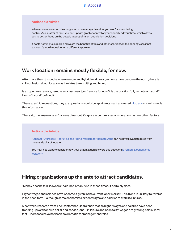#### Actionable Advice

When you use an enterprise programmatic managed service, you aren't surrendering control. As a matter of fact, you end up with greater control of your spend and your time, which allows you to better focus on the people aspect of talent acquisition decisions.

It costs nothing to explore and weigh the benefits of this and other solutions. In the coming year, if not sooner, it's worth considering a different approach.

# Work location remains mostly flexible, for now.

After more than 18 months where remote and hybrid work arrangements have become the norm, there is still confusion about location as it relates to recruiting and hiring.

Is an open role remote, remote as a last resort, or "remote for now"? Is the position fully remote or hybrid? How is "hybrid" defined?

These aren't idle questions; they are questions would-be applicants want answered. [Job ads s](https://info.appcast.io/whitepaper/best-practices-in-job-ad-content-website)hould include this information.

That said, the answers aren't always clear-cut. Corporate culture is a consideration, as are other factors.

#### Actionable Advice

[Appcast Futurecast: Recruiting and Hiring Workers for Remote Jobs](https://info.appcast.io/whitepaper/futurecast-recruiting-and-hiring-remote-jobs-website) can help you evaluate roles from the standpoint of location.

You may also want to consider how your organization answers this question: Is remote a benefit or a [location?](https://www.appcast.io/is-remote-a-benefit-or-a-location/)

# Hiring organizations up the ante to attract candidates.

"Money doesn't talk, it swears," said Bob Dylan. And in these times, it certainly does.

Higher wages and salaries have become a given in the current labor market. This trend is unlikely to reverse in the near-term – although some economists expect wages and salaries to stabilize in 2022.

Meanwhile, research from The Conference Board finds that as higher wages and salaries have been trending upward for blue collar and service jobs – in leisure and hospitality, wages are growing particularly fast – increases have not been as dramatic for management roles.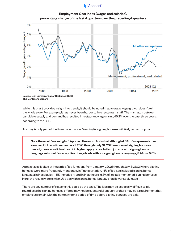



While this chart provides insight into trends, it should be noted that average wage growth doesn't tell the whole story. For example, it has never been harder to hire restaurant staff. The mismatch between candidate supply and demand has resulted in restaurant wages rising 46.2% over the past three years, according to the BLS.

And pay is only part of the financial equation. Meaningful signing bonuses will likely remain popular.

Note the word "meaningful." Appcast Research finds that although 4.3% of a representative sample of job ads from January 1, 2021 through July 31, 2021 mentioned signing bonuses, overall, those ads did not result in higher apply rates. In fact, job ads with signing bonus language returned fewer applies than job ads without signing bonus language, 3.4% vs. 5.5%.

Appcast also looked at industries / job functions from January 1, 2021 through July 31, 2021 where signing bonuses were more frequently mentioned. In Transportation, 14% of job ads included signing bonus language; in Hospitality, 11.5% included it; and in Healthcare, 6.3% of job ads mentioned signing bonuses. Here, the results were similar. Job ads with signing bonus language had lower apply rates.

There are any number of reasons this could be the case. The jobs may be especially difficult to fill, regardless; the signing bonuses offered may not be substantial enough; or there may be a requirement that employees remain with the company for a period of time before signing bonuses are paid.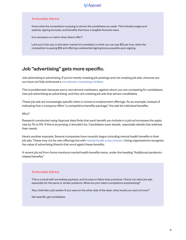#### Actionable Advice

Know what the competition is paying to attract the candidates you seek. This includes wages and salaries, signing bonuses, and benefits that have a tangible financial value.

Is it necessary to match what others offer?

Let's put it this way, in this labor market it's unrealistic to think you can pay \$12 per hour when the competition is paying \$18 and offering a substantial signing bonus payable upon signing.

# Job "advertising" gets more specific.

Job advertising is advertising. If you're merely creating job postings and not creating job ads, chances are you have not fully embraced a [recruitment marketing mindset.](https://info.appcast.io/whitepaper/2nd-edition-definitive-guide-to-recruitment-advertising-website)

This is problematic because savvy recruitment marketers, against whom you are competing for candidates, view job advertising as advertising, and they are creating job ads that attract candidates.

These job ads are increasingly specific when it comes to employment offerings. As an example, instead of indicating that a company offers "a competitive benefits package," the ads list individual benefits.

#### Why?

Research conducted using Appcast data finds that each benefit you include in a job ad increases the apply rate by 1% to 5%. If this is surprising, it shouldn't be. Candidates want details, especially details that address their needs.

Here's another example. Several companies have recently begun including mental health benefits in their job ads. These may not be new offerings but with [mental health a top concern,](https://www.axios.com/newsletters/axios-whats-next-a15b875e-fce4-46f4-94db-ccd23637865c.html) hiring organizations recognize the value of advertising (there's that word again) these benefits.

A recent job ad from Axios mentions mental health benefits twice, under the heading "Additional pandemicrelated benefits."

#### Actionable Advice

This is a trend with immediate payback, and it's easy to follow best practices. Check out other job ads, especially for the same or similar positions. What are your talent competitors emphasizing?

Also, think like a job seeker. If you were on the other side of the desk, what would you want to know?

Get specific, get candidates.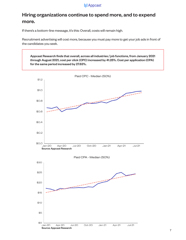# Hiring organizations continue to spend more, and to expend more.

If there's a bottom-line message, it's this: Overall, costs will remain high.

Recruitment advertising will cost more, because you must pay more to get your job ads in front of the candidates you seek.

Appcast Research finds that overall, across all industries / job functions, from January 2021 through August 2021, cost per click (CPC) increased by 41.25%. Cost per application (CPA) for the same period increased by 27.63%.